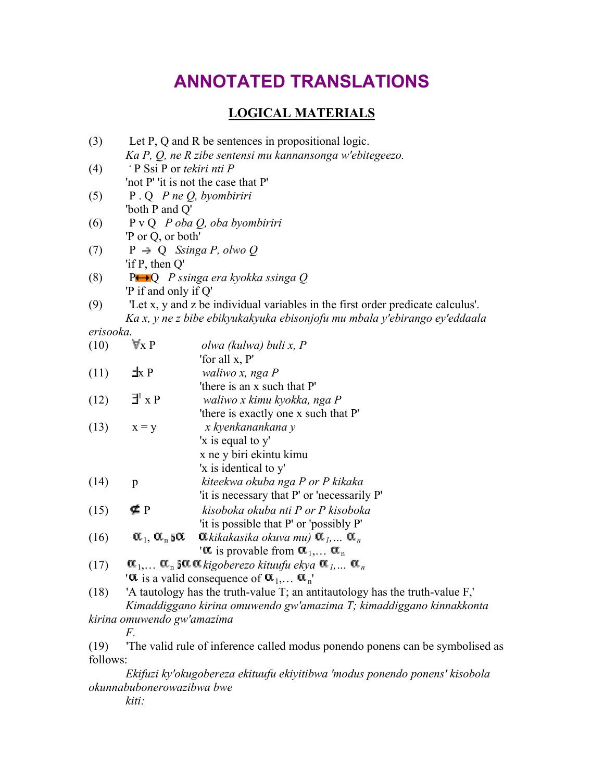# **ANNOTATED TRANSLATIONS**

# **LOGICAL MATERIALS**

- (3) Let P, Q and R be sentences in propositional logic. *Ka P, Q, ne R zibe sentensi mu kannansonga w'ebitegeezo.* (4) **.** P Ssi P or *tekiri nti P* 'not P' 'it is not the case that P' (5) P . Q *P ne Q, byombiriri* 'both P and Q' (6) P v Q *P oba Q, oba byombiriri* 'P or Q, or both' (7)  $P \rightarrow Q$  *Ssinga P, olwo Q* 'if P, then Q' (8) P Q *P ssinga era kyokka ssinga Q* 'P if and only if Q' (9) 'Let x, y and z be individual variables in the first order predicate calculus'. *Ka x, y ne z bibe ebikyukakyuka ebisonjofu mu mbala y'ebirango ey'eddaala erisooka.*<br>(10)  $\nabla x P$ (10) x P *olwa (kulwa) buli x, P* 'for all x, P' (11)  $\exists x P$  *waliwo x, nga P* 'there is an x such that P'  $(12)$   $\exists^{\text{l}}$  x P x P *waliwo x kimu kyokka, nga P* 'there is exactly one x such that P' (13) x = y *x kyenkanankana y*
- x ne y biri ekintu kimu 'x is identical to y' (14) p *kiteekwa okuba nga P or P kikaka* 'it is necessary that P' or 'necessarily P' (15) P *kisoboka okuba nti P or P kisoboka* 'it is possible that P' or 'possibly P' (16)  $\alpha_1, \alpha_n$  50.  $\alpha_k$ kikakasika okuva mu)  $\alpha_k, \ldots, \alpha_n$ ' $\alpha$  is provable from  $\alpha_1,... \alpha_n$

'x is equal to y'

(17)  $\alpha_1, \ldots \alpha_n$  5 $\alpha$   $\alpha$  kigoberezo kituufu ekya  $\alpha_1, \ldots \alpha_n$ ' $\alpha$  is a valid consequence of  $\alpha_1, \ldots \alpha_n'$ '

(18) 'A tautology has the truth-value T; an antitautology has the truth-value F,' *Kimaddiggano kirina omuwendo gw'amazima T; kimaddiggano kinnakkonta* 

*kirina omuwendo gw'amazima* 

(19) 'The valid rule of inference called modus ponendo ponens can be symbolised as follows:

*Ekifuzi ky'okugobereza ekituufu ekiyitibwa 'modus ponendo ponens' kisobola okunnabubonerowazibwa bwe* 

*kiti:*

*F.*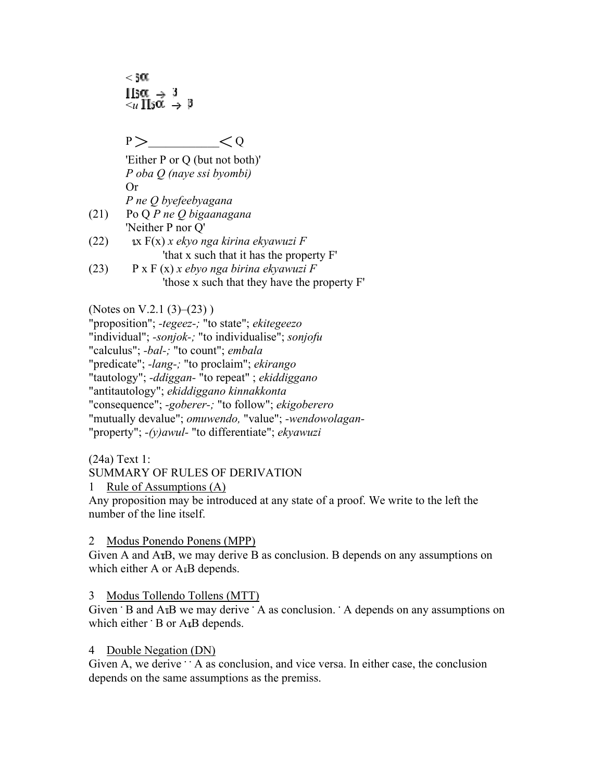$<$   $50$ .  $\text{H}_3\alpha \rightarrow 3$  $\overline{\langle u|}\Pi_5\alpha \rightarrow \beta$ 

 $P >$   $< 0$ 

'Either P or Q (but not both)' *P oba Q (naye ssi byombi)* Or *P ne Q byefeebyagana*

- (21) Po Q *P ne Q bigaanagana* 'Neither P nor Q'
- (22) x F(x) *x ekyo nga kirina ekyawuzi F* 'that x such that it has the property F'
- (23) P x F (x) *x ebyo nga birina ekyawuzi F* 'those x such that they have the property F'

(Notes on V.2.1 (3)–(23) )

"proposition"; *-tegeez-;* "to state"; *ekitegeezo* "individual"; *-sonjok-;* "to individualise"; *sonjofu* "calculus"; *-bal-;* "to count"; *embala* "predicate"; *-lang-;* "to proclaim"; *ekirango* "tautology"; *-ddiggan-* "to repeat" ; *ekiddiggano* "antitautology"; *ekiddiggano kinnakkonta* "consequence"; *-goberer-;* "to follow"; *ekigoberero* "mutually devalue"; *omuwendo,* "value"; *-wendowolagan-* "property"; *-(y)awul-* "to differentiate"; *ekyawuzi*

(24a) Text 1:

SUMMARY OF RULES OF DERIVATION

1 Rule of Assumptions (A)

Any proposition may be introduced at any state of a proof. We write to the left the number of the line itself.

# 2 Modus Ponendo Ponens (MPP)

Given A and  $A<sub>u</sub>B$ , we may derive B as conclusion. B depends on any assumptions on which either A or  $A \circ B$  depends.

# 3 Modus Tollendo Tollens (MTT)

Given **B** and A<sub><sup>tB</sup> we may derive **A** as conclusion. A depends on any assumptions on</sub> which either  $\cdot$  B or A<sub>*I*</sub>B depends.

# 4 Double Negation (DN)

Given A, we derive  $\cdot \cdot$  A as conclusion, and vice versa. In either case, the conclusion depends on the same assumptions as the premiss.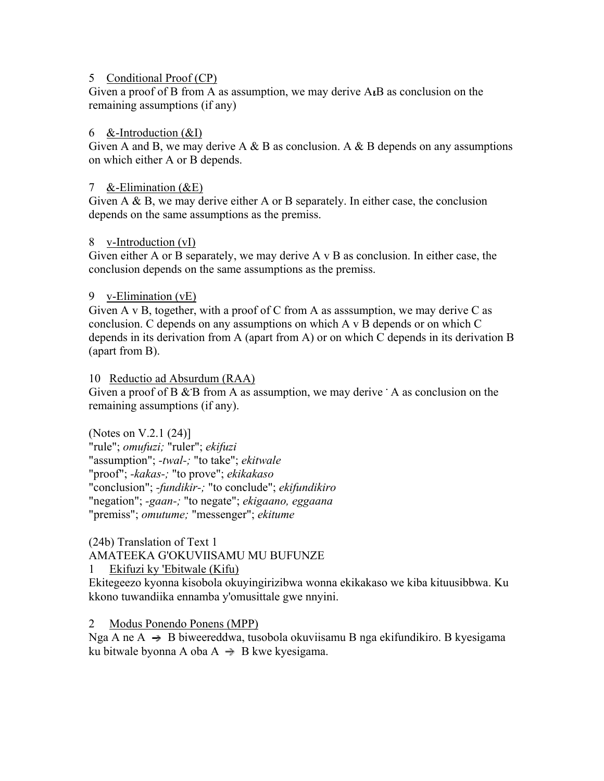#### 5 Conditional Proof (CP)

Given a proof of B from A as assumption, we may derive  $A<sub>t</sub>B$  as conclusion on the remaining assumptions (if any)

#### 6 &-Introduction  $(\&0)$

Given A and B, we may derive A & B as conclusion. A & B depends on any assumptions on which either A or B depends.

#### 7 &-Elimination  $(\&E)$

Given A & B, we may derive either A or B separately. In either case, the conclusion depends on the same assumptions as the premiss.

#### 8 v-Introduction (vI)

Given either A or B separately, we may derive A v B as conclusion. In either case, the conclusion depends on the same assumptions as the premiss.

#### 9 v-Elimination (vE)

Given A v B, together, with a proof of C from A as assumption, we may derive C as conclusion. C depends on any assumptions on which A v B depends or on which C depends in its derivation from A (apart from A) or on which C depends in its derivation B (apart from B).

#### 10 Reductio ad Absurdum (RAA)

Given a proof of B & B from A as assumption, we may derive **A** as conclusion on the remaining assumptions (if any).

(Notes on V.2.1 (24)] "rule"; *omufuzi;* "ruler"; *ekifuzi* "assumption"; *-twal-;* "to take"; *ekitwale* "proof"; *-kakas-;* "to prove"; *ekikakaso* "conclusion"; *-fundikir-;* "to conclude"; *ekifundikiro* "negation"; *-gaan-;* "to negate"; *ekigaano, eggaana* "premiss"; *omutume;* "messenger"; *ekitume*

(24b) Translation of Text 1 AMATEEKA G'OKUVIISAMU MU BUFUNZE 1 Ekifuzi ky 'Ebitwale (Kifu)

Ekitegeezo kyonna kisobola okuyingirizibwa wonna ekikakaso we kiba kituusibbwa. Ku kkono tuwandiika ennamba y'omusittale gwe nnyini.

2 Modus Ponendo Ponens (MPP)

Nga A ne A  $\rightarrow$  B biweereddwa, tusobola okuviisamu B nga ekifundikiro. B kyesigama ku bitwale byonna A oba  $A \rightarrow B$  kwe kyesigama.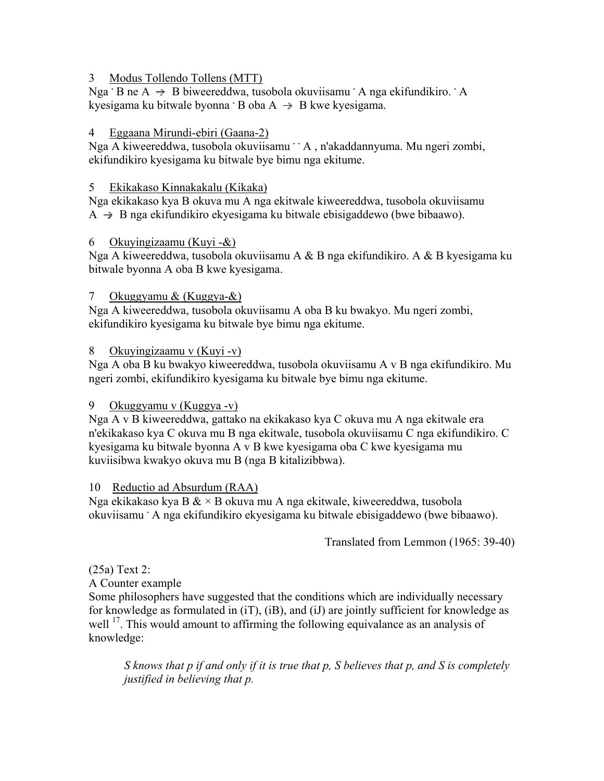#### 3 Modus Tollendo Tollens (MTT)

Nga **·** B ne A → B biweereddwa, tusobola okuviisamu · A nga ekifundikiro. · A kyesigama ku bitwale byonna **B** oba A → B kwe kyesigama.

#### 4 Eggaana Mirundi-ebiri (Gaana-2)

Nga A kiweereddwa, tusobola okuviisamu <sup>.</sup> A, n'akaddannyuma. Mu ngeri zombi, ekifundikiro kyesigama ku bitwale bye bimu nga ekitume.

#### 5 Ekikakaso Kinnakakalu (Kikaka)

Nga ekikakaso kya B okuva mu A nga ekitwale kiweereddwa, tusobola okuviisamu  $A \rightarrow B$  nga ekifundikiro ekyesigama ku bitwale ebisigaddewo (bwe bibaawo).

#### 6 Okuyingizaamu (Kuyi -&)

Nga A kiweereddwa, tusobola okuviisamu A & B nga ekifundikiro. A & B kyesigama ku bitwale byonna A oba B kwe kyesigama.

#### 7 Okuggyamu & (Kuggya-&)

Nga A kiweereddwa, tusobola okuviisamu A oba B ku bwakyo. Mu ngeri zombi, ekifundikiro kyesigama ku bitwale bye bimu nga ekitume.

#### 8 Okuyingizaamu v (Kuyi -v)

Nga A oba B ku bwakyo kiweereddwa, tusobola okuviisamu A v B nga ekifundikiro. Mu ngeri zombi, ekifundikiro kyesigama ku bitwale bye bimu nga ekitume.

# 9 Okuggyamu v (Kuggya -v)

Nga A v B kiweereddwa, gattako na ekikakaso kya C okuva mu A nga ekitwale era n'ekikakaso kya C okuva mu B nga ekitwale, tusobola okuviisamu C nga ekifundikiro. C kyesigama ku bitwale byonna A v B kwe kyesigama oba C kwe kyesigama mu kuviisibwa kwakyo okuva mu B (nga B kitalizibbwa).

#### 10 Reductio ad Absurdum (RAA)

Nga ekikakaso kya B  $\& \times$  B okuva mu A nga ekitwale, kiweereddwa, tusobola okuviisamu **.** A nga ekifundikiro ekyesigama ku bitwale ebisigaddewo (bwe bibaawo).

Translated from Lemmon (1965: 39-40)

# (25a) Text 2:

A Counter example

Some philosophers have suggested that the conditions which are individually necessary for knowledge as formulated in (iT), (iB), and (iJ) are jointly sufficient for knowledge as well <sup>17</sup>. This would amount to affirming the following equivalance as an analysis of knowledge:

*S knows that p if and only if it is true that p, S believes that p, and S is completely justified in believing that p.*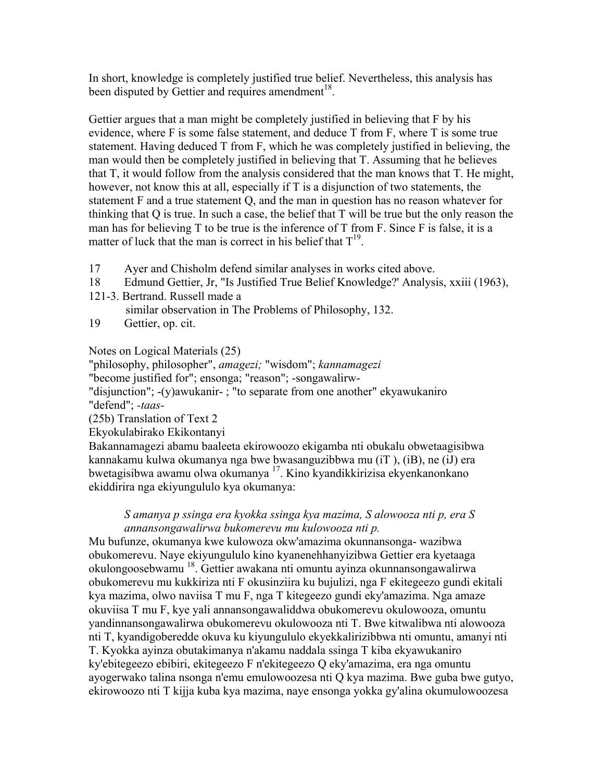In short, knowledge is completely justified true belief. Nevertheless, this analysis has been disputed by Gettier and requires amendment<sup>18</sup>.

Gettier argues that a man might be completely justified in believing that F by his evidence, where F is some false statement, and deduce T from F, where T is some true statement. Having deduced T from F, which he was completely justified in believing, the man would then be completely justified in believing that T. Assuming that he believes that T, it would follow from the analysis considered that the man knows that T. He might, however, not know this at all, especially if T is a disjunction of two statements, the statement F and a true statement Q, and the man in question has no reason whatever for thinking that Q is true. In such a case, the belief that T will be true but the only reason the man has for believing T to be true is the inference of T from F. Since F is false, it is a matter of luck that the man is correct in his belief that  $T^{19}$ .

- 17 Ayer and Chisholm defend similar analyses in works cited above.
- 18 Edmund Gettier, Jr, "Is Justified True Belief Knowledge?' Analysis, xxiii (1963),
- 121-3. Bertrand. Russell made a
	- similar observation in The Problems of Philosophy, 132.
- 19 Gettier, op. cit.

Notes on Logical Materials (25)

"philosophy, philosopher", *amagezi;* "wisdom"; *kannamagezi*

"become justified for"; ensonga; "reason"; -songawalirw-

"disjunction"; -(y)awukanir- ; "to separate from one another" ekyawukaniro "defend"; *-taas-*

(25b) Translation of Text 2

Ekyokulabirako Ekikontanyi

Bakannamagezi abamu baaleeta ekirowoozo ekigamba nti obukalu obwetaagisibwa kannakamu kulwa okumanya nga bwe bwasanguzibbwa mu (iT ), (iB), ne (iJ) era bwetagisibwa awamu olwa okumanya 17. Kino kyandikkirizisa ekyenkanonkano ekiddirira nga ekiyungululo kya okumanya:

#### *S amanya p ssinga era kyokka ssinga kya mazima, S alowooza nti p, era S annansongawalirwa bukomerevu mu kulowooza nti p.*

Mu bufunze, okumanya kwe kulowoza okw'amazima okunnansonga- wazibwa obukomerevu. Naye ekiyungululo kino kyanenehhanyizibwa Gettier era kyetaaga okulongoosebwamu 18. Gettier awakana nti omuntu ayinza okunnansongawalirwa obukomerevu mu kukkiriza nti F okusinziira ku bujulizi, nga F ekitegeezo gundi ekitali kya mazima, olwo naviisa T mu F, nga T kitegeezo gundi eky'amazima. Nga amaze okuviisa T mu F, kye yali annansongawaliddwa obukomerevu okulowooza, omuntu yandinnansongawalirwa obukomerevu okulowooza nti T. Bwe kitwalibwa nti alowooza nti T, kyandigoberedde okuva ku kiyungululo ekyekkalirizibbwa nti omuntu, amanyi nti T. Kyokka ayinza obutakimanya n'akamu naddala ssinga T kiba ekyawukaniro ky'ebitegeezo ebibiri, ekitegeezo F n'ekitegeezo Q eky'amazima, era nga omuntu ayogerwako talina nsonga n'emu emulowoozesa nti Q kya mazima. Bwe guba bwe gutyo, ekirowoozo nti T kijja kuba kya mazima, naye ensonga yokka gy'alina okumulowoozesa